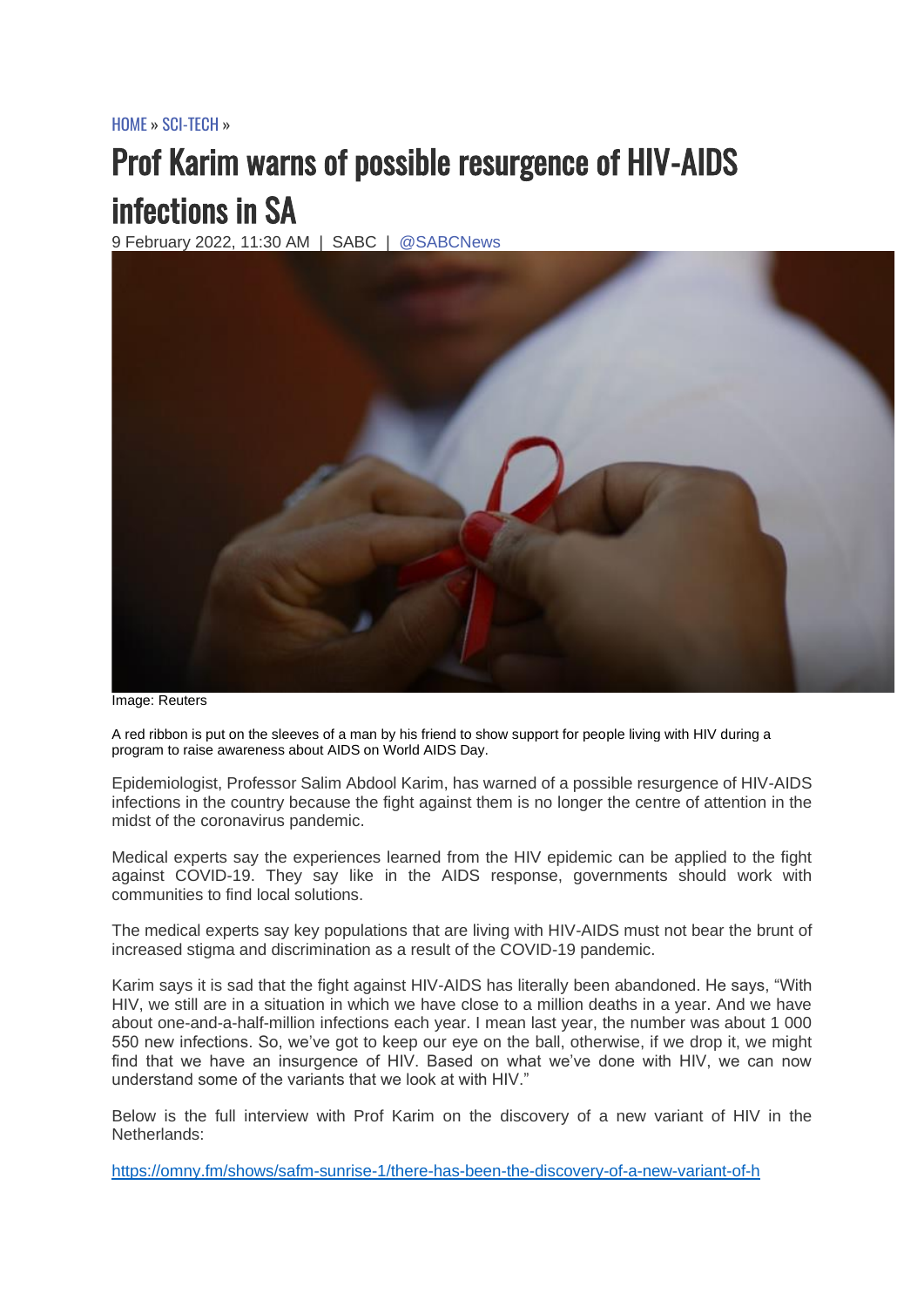[HOME](https://www.sabcnews.com/sabcnews/) » [SCI-TECH](https://www.sabcnews.com/sabcnews/category/sci-tech/) »

## Prof Karim warns of possible resurgence of HIV-AIDS infections in SA

9 February 2022, 11:30 AM | SABC | [@SABCNews](https://twitter.com/SABCNews)



Image: Reuters

A red ribbon is put on the sleeves of a man by his friend to show support for people living with HIV during a program to raise awareness about AIDS on World AIDS Day.

Epidemiologist, Professor Salim Abdool Karim, has warned of a possible resurgence of HIV-AIDS infections in the country because the fight against them is no longer the centre of attention in the midst of the coronavirus pandemic.

Medical experts say the experiences learned from the HIV epidemic can be applied to the fight against COVID-19. They say like in the AIDS response, governments should work with communities to find local solutions.

The medical experts say key populations that are living with HIV-AIDS must not bear the brunt of increased stigma and discrimination as a result of the COVID-19 pandemic.

Karim says it is sad that the fight against HIV-AIDS has literally been abandoned. He says, "With HIV, we still are in a situation in which we have close to a million deaths in a year. And we have about one-and-a-half-million infections each year. I mean last year, the number was about 1 000 550 new infections. So, we've got to keep our eye on the ball, otherwise, if we drop it, we might find that we have an insurgence of HIV. Based on what we've done with HIV, we can now understand some of the variants that we look at with HIV."

Below is the full interview with Prof Karim on the discovery of a new variant of HIV in the Netherlands:

<https://omny.fm/shows/safm-sunrise-1/there-has-been-the-discovery-of-a-new-variant-of-h>